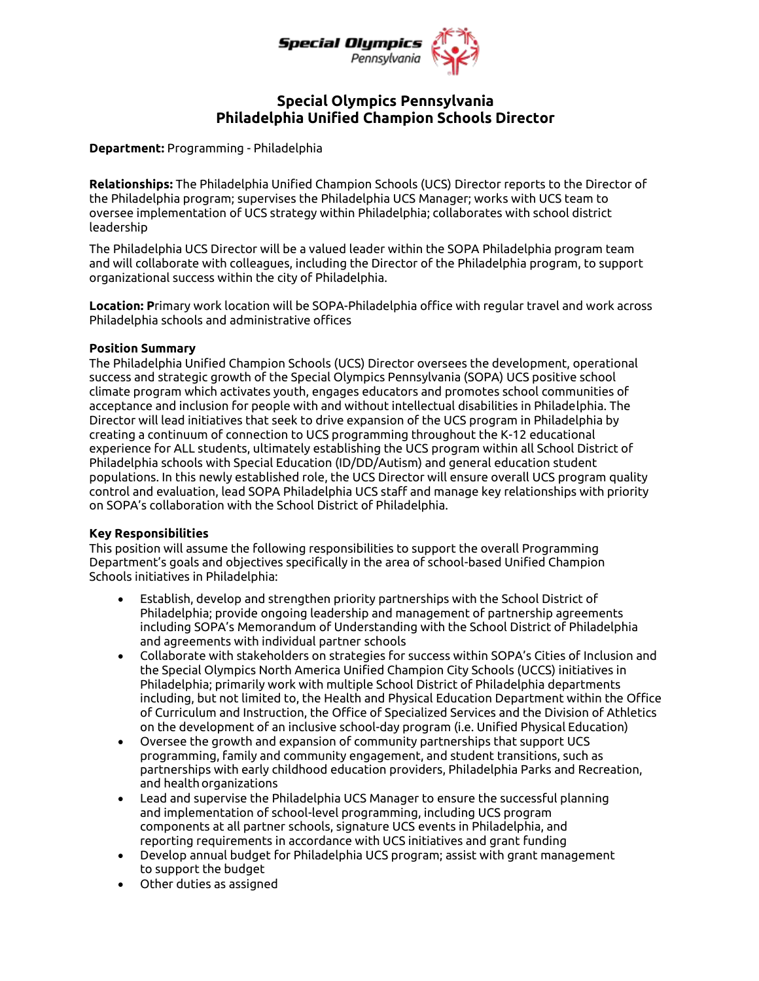

# **Special Olympics Pennsylvania Philadelphia Unified Champion Schools Director**

**Department:** Programming - Philadelphia

**Relationships:** The Philadelphia Unified Champion Schools (UCS) Director reports to the Director of the Philadelphia program; supervises the Philadelphia UCS Manager; works with UCS team to oversee implementation of UCS strategy within Philadelphia; collaborates with school district leadership

The Philadelphia UCS Director will be a valued leader within the SOPA Philadelphia program team and will collaborate with colleagues, including the Director of the Philadelphia program, to support organizational success within the city of Philadelphia.

**Location: P**rimary work location will be SOPA-Philadelphia office with regular travel and work across Philadelphia schools and administrative offices

### **Position Summary**

The Philadelphia Unified Champion Schools (UCS) Director oversees the development, operational success and strategic growth of the Special Olympics Pennsylvania (SOPA) UCS positive school climate program which activates youth, engages educators and promotes school communities of acceptance and inclusion for people with and without intellectual disabilities in Philadelphia. The Director will lead initiatives that seek to drive expansion of the UCS program in Philadelphia by creating a continuum of connection to UCS programming throughout the K-12 educational experience for ALL students, ultimately establishing the UCS program within all School District of Philadelphia schools with Special Education (ID/DD/Autism) and general education student populations. In this newly established role, the UCS Director will ensure overall UCS program quality control and evaluation, lead SOPA Philadelphia UCS staff and manage key relationships with priority on SOPA's collaboration with the School District of Philadelphia.

## **Key Responsibilities**

This position will assume the following responsibilities to support the overall Programming Department's goals and objectives specifically in the area of school-based Unified Champion Schools initiatives in Philadelphia:

- Establish, develop and strengthen priority partnerships with the School District of Philadelphia; provide ongoing leadership and management of partnership agreements including SOPA's Memorandum of Understanding with the School District of Philadelphia and agreements with individual partner schools
- Collaborate with stakeholders on strategies for success within SOPA's Cities of Inclusion and the Special Olympics North America Unified Champion City Schools (UCCS) initiatives in Philadelphia; primarily work with multiple School District of Philadelphia departments including, but not limited to, the Health and Physical Education Department within the Office of Curriculum and Instruction, the Office of Specialized Services and the Division of Athletics on the development of an inclusive school-day program (i.e. Unified Physical Education)
- Oversee the growth and expansion of community partnerships that support UCS programming, family and community engagement, and student transitions, such as partnerships with early childhood education providers, Philadelphia Parks and Recreation, and health organizations
- Lead and supervise the Philadelphia UCS Manager to ensure the successful planning and implementation of school-level programming, including UCS program components at all partner schools, signature UCS events in Philadelphia, and reporting requirements in accordance with UCS initiatives and grant funding
- Develop annual budget for Philadelphia UCS program; assist with grant management to support the budget
- Other duties as assigned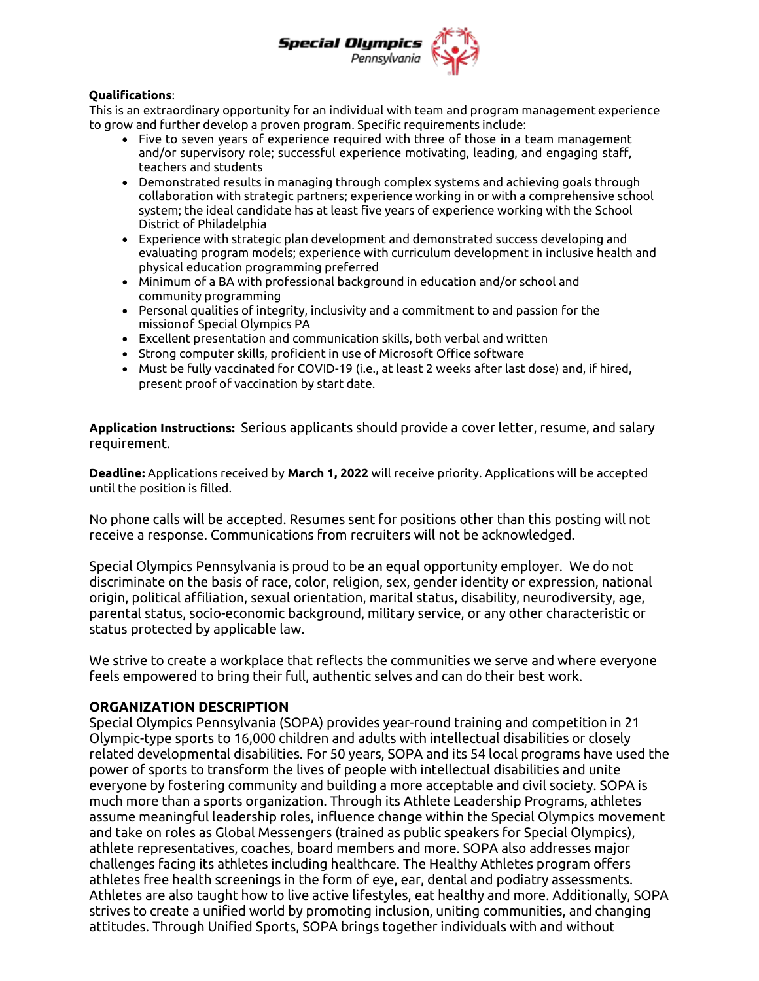

## **Qualifications**:

This is an extraordinary opportunity for an individual with team and program management experience to grow and further develop a proven program. Specific requirements include:

- $\bullet$  Five to seven years of experience required with three of those in a team management and/or supervisory role; successful experience motivating, leading, and engaging staff, teachers and students
- Demonstrated results in managing through complex systems and achieving goals through collaboration with strategic partners; experience working in or with a comprehensive school system; the ideal candidate has at least five years of experience working with the School District of Philadelphia
- Experience with strategic plan development and demonstrated success developing and evaluating program models; experience with curriculum development in inclusive health and physical education programming preferred
- Minimum of a BA with professional background in education and/or school and community programming
- Personal qualities of integrity, inclusivity and a commitment to and passion for the missionof Special Olympics PA
- Excellent presentation and communication skills, both verbal and written
- Strong computer skills, proficient in use of Microsoft Office software
- Must be fully vaccinated for COVID-19 (i.e., at least 2 weeks after last dose) and, if hired, present proof of vaccination by start date.

**Application Instructions:** Serious applicants should provide a cover letter, resume, and salary requirement.

**Deadline:** Applications received by **March 1, 2022** will receive priority. Applications will be accepted until the position is filled.

No phone calls will be accepted. Resumes sent for positions other than this posting will not receive a response. Communications from recruiters will not be acknowledged.

Special Olympics Pennsylvania is proud to be an equal opportunity employer. We do not discriminate on the basis of race, color, religion, sex, gender identity or expression, national origin, political affiliation, sexual orientation, marital status, disability, neurodiversity, age, parental status, socio-economic background, military service, or any other characteristic or status protected by applicable law.

We strive to create a workplace that reflects the communities we serve and where everyone feels empowered to bring their full, authentic selves and can do their best work.

## **ORGANIZATION DESCRIPTION**

Special Olympics Pennsylvania (SOPA) provides year-round training and competition in 21 Olympic-type sports to 16,000 children and adults with intellectual disabilities or closely related developmental disabilities. For 50 years, SOPA and its 54 local programs have used the power of sports to transform the lives of people with intellectual disabilities and unite everyone by fostering community and building a more acceptable and civil society. SOPA is much more than a sports organization. Through its Athlete Leadership Programs, athletes assume meaningful leadership roles, influence change within the Special Olympics movement and take on roles as Global Messengers (trained as public speakers for Special Olympics), athlete representatives, coaches, board members and more. SOPA also addresses major challenges facing its athletes including healthcare. The Healthy Athletes program offers athletes free health screenings in the form of eye, ear, dental and podiatry assessments. Athletes are also taught how to live active lifestyles, eat healthy and more. Additionally, SOPA strives to create a unified world by promoting inclusion, uniting communities, and changing attitudes. Through Unified Sports, SOPA brings together individuals with and without